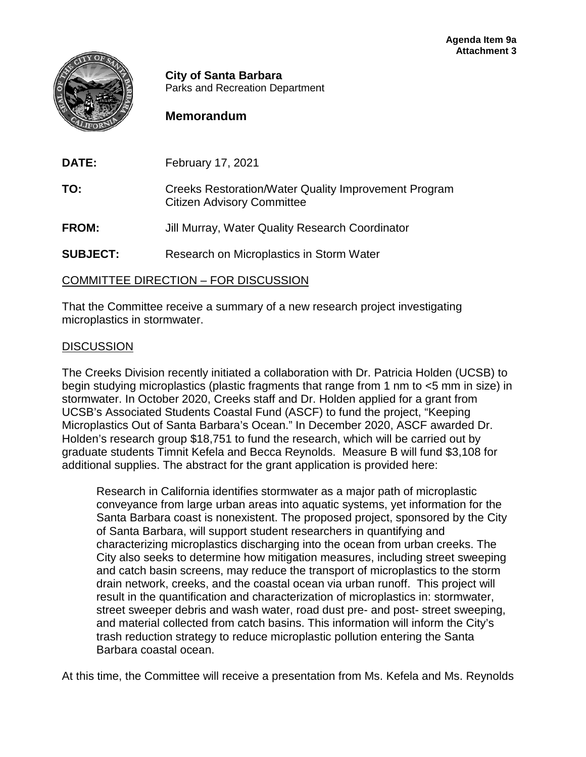

**City of Santa Barbara** Parks and Recreation Department

## **Memorandum**

| <b>DATE:</b>    | February 17, 2021                                                                                |
|-----------------|--------------------------------------------------------------------------------------------------|
| TO:             | <b>Creeks Restoration/Water Quality Improvement Program</b><br><b>Citizen Advisory Committee</b> |
| <b>FROM:</b>    | Jill Murray, Water Quality Research Coordinator                                                  |
| <b>SUBJECT:</b> | Research on Microplastics in Storm Water                                                         |
|                 |                                                                                                  |

COMMITTEE DIRECTION – FOR DISCUSSION

That the Committee receive a summary of a new research project investigating microplastics in stormwater.

## **DISCUSSION**

The Creeks Division recently initiated a collaboration with Dr. Patricia Holden (UCSB) to begin studying microplastics (plastic fragments that range from 1 nm to <5 mm in size) in stormwater. In October 2020, Creeks staff and Dr. Holden applied for a grant from UCSB's Associated Students Coastal Fund (ASCF) to fund the project, "Keeping Microplastics Out of Santa Barbara's Ocean." In December 2020, ASCF awarded Dr. Holden's research group \$18,751 to fund the research, which will be carried out by graduate students Timnit Kefela and Becca Reynolds. Measure B will fund \$3,108 for additional supplies. The abstract for the grant application is provided here:

Research in California identifies stormwater as a major path of microplastic conveyance from large urban areas into aquatic systems, yet information for the Santa Barbara coast is nonexistent. The proposed project, sponsored by the City of Santa Barbara, will support student researchers in quantifying and characterizing microplastics discharging into the ocean from urban creeks. The City also seeks to determine how mitigation measures, including street sweeping and catch basin screens, may reduce the transport of microplastics to the storm drain network, creeks, and the coastal ocean via urban runoff. This project will result in the quantification and characterization of microplastics in: stormwater, street sweeper debris and wash water, road dust pre- and post- street sweeping, and material collected from catch basins. This information will inform the City's trash reduction strategy to reduce microplastic pollution entering the Santa Barbara coastal ocean.

At this time, the Committee will receive a presentation from Ms. Kefela and Ms. Reynolds